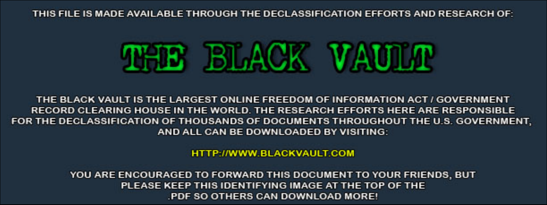THIS FILE IS MADE AVAILABLE THROUGH THE DECLASSIFICATION EFFORTS AND RESEARCH OF:



THE BLACK VAULT IS THE LARGEST ONLINE FREEDOM OF INFORMATION ACT / GOVERNMENT RECORD CLEARING HOUSE IN THE WORLD. THE RESEARCH EFFORTS HERE ARE RESPONSIBLE FOR THE DECLASSIFICATION OF THOUSANDS OF DOCUMENTS THROUGHOUT THE U.S. GOVERNMENT, AND ALL CAN BE DOWNLOADED BY VISITING:

**HTTP://WWW.BLACKVAULT.COM** 

YOU ARE ENCOURAGED TO FORWARD THIS DOCUMENT TO YOUR FRIENDS, BUT PLEASE KEEP THIS IDENTIFYING IMAGE AT THE TOP OF THE PDF SO OTHERS CAN DOWNLOAD MORE!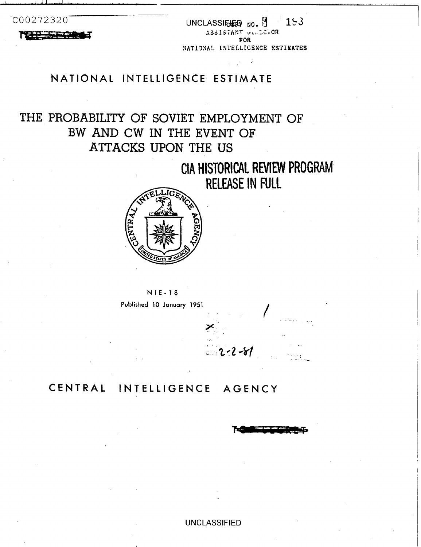$-$ CO 0272320 UNCLASSIE **NO.**  $\frac{15}{153}$ FOR NATIONAL INTELLIGENCE ESTIMATES

## **NATIONAL INTELLIGENCE ESTIMATE**

\_- .

# THE **PROBABILITY OF** SOVIET **EMPLOYMENT OF BW AND CW IN THE** EVENT **OF**  ATTACKS UPON **THE US**

# **CIA HISTORICAL REVIEW** PROGRAM RELEASE **IN FULL**





## **CENTRAL INTELLIGENCE AGENCY**

-\* . ..\_

UNCLASSIFIED

 $2 - 2 - 81$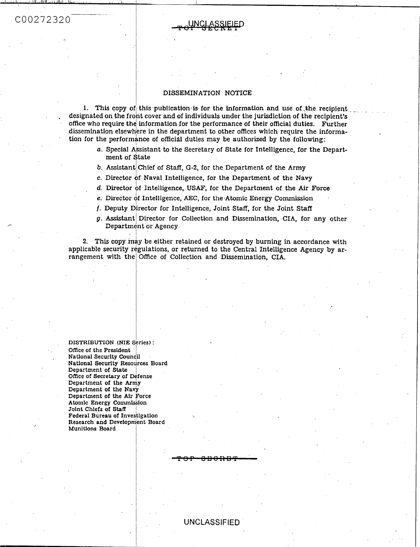

#### DISSEMINATION NOTICE

1. This copy of this publication is for the information and use of the recipient designated on the front cover and of individuals under the jurisdiction of the recipient's office who require the information for the performance of their official duties. Further dissemination elsewhere in the department to other offices which require the information for the performance of official duties may be authorized by the following:

- a. Special Assistant to the Secretary of State for Intelligence, for the Department of State
- b. Assistant Chief of Staff, G-2, for the Department of the Army
- c. Director of Naval Intelligence, for the Department of the Navy
- d. Director of Intelligence, USAF, for the Department of the Air Force
- e. Director of Intelligence, AEC, for the Atomic Energy Commission
- f. Deputy Director for Intelligence, Joint Staff, for the Joint Staff
- g. Assistant Director for Collection and Dissemination, CIA, for any other Department or Agency

2. This copy may be either retained or destroyed by burning in accordance with applicable security regulations, or returned to the Central Intelligence Agency by arrangement with the Office of Collection and Dissemination. CIA.

DISTRIBUTION (NIE Series): Office of the President National Security Council National Security Resources Board Department of State Office of Secretary of Defense Department of the Army Department of the Navy Department of the Air Force Atomic Energy Commission Joint Chiefs of Staff Federal Bureau of Investigation Research and Development Board Munitions Board

#### **UNCLASSIFIED**

<del>anang</del>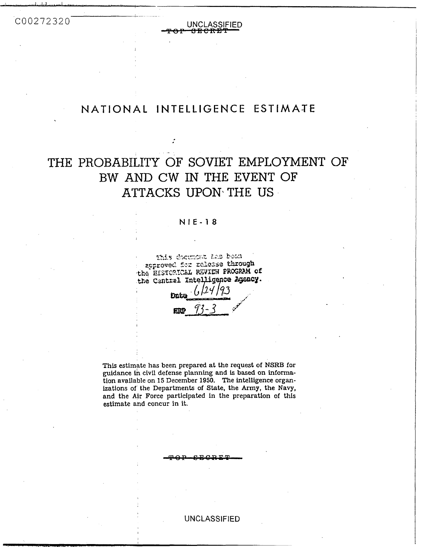COO272320

TOP UNCLASSIFIED **UNCLASSIFIED** 

 $+$ 

## NATIONAL INTELLIGENCE **ESTIMATE** <sup>I</sup>

# THE PROBABILITY OF SOVIET EMPLOYMENT OF BW AND CW IN THE EVENT OF ATTACKS **UPON\THE** US

#### **NIE-18**

This document has been approved for release through the EISTORICAL REVIEW PROGRAM of the Central Intelligence Agency.

Dat ERP

This estimate has been prepared at the request of NSRB for guidance **ih** civil defense planning and **is** based on information available on 15 December 1950. The intelligence organizations of the Departments of State, the **Army,** the Navy, and the Air Force participated in the preparation of this estimate and concur in it.

**U N** C LASSl **F** IED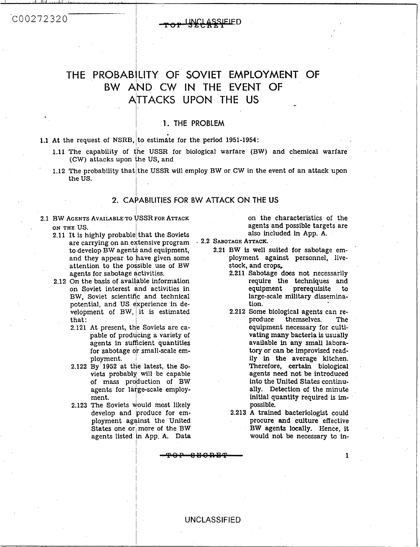### COO272320

## **THE PROBABILITY OF SOVIET EMPLOYMENT OF**  BW AND CW IN THE EVENT OF ATTACKS UPON **THE US** -

#### 1. THE PROBLEM

**1.1** At the request of NSRB, to estimate for the period 1951-1954:

**I'm March** 

- **1.11** The capability of (he USSR for biological warfare (BW) and chemical warfare (CW) attacks upon the US, and
- 1.12 The probability that the USSR will employ BW or CW in the event of an attack upon the US.

# I **2. CAPABILITIES FOR BW AITACK ON THE US**

I **2.1** BW AGENTS AVAILABLE TO USSR **FOR** ATTACK ON THE US.

- \_.

I İ.

- **2.11** It is highly probable) that the Soviets are carrying on an ertensive program to develop BW agents and equipment, and they appear to have given some attention to the possible use of BW agents for sabotage activities.
- **2.12** On the basis of available information on Soviet interest and activities in BW, Soviet scientific and technical potential, and US experience in development of BW, it is estimated that:
	- **2.121 At present, the Soviets are ca**pable of producing a variety of agents **in** sufficient quantities for sabotage or small-scale employment.
	- **2.122 By 1952 at the latest, the So**viets probably will be capable of mass production of BW agents for large-scale employment.
	- **2.123** The Soviets would most likely develop and produce for employment against the United States one or more of the BW agents listed in App. A. Data

I

I

I

on the characteristics of the agents and possible targets are also included in App. A.

- **2.2** SABOTAGE ATTACK.
	- **2.21** BW **is** well suited **for** sabotage employment against personnel, livestock, and crops,
		- **2.211** Sabotage does not necessarily require the techniques and equipment prerequisite to large-scale military dissemination.
		- **2.212** Some biological agents can rethemselves. equipment necessary for cultivating many bacteria is usually available in any small labora*tory* or can **be** improvised readily in the average kitchen. Therefore, certain biological agents need not be introduced **into** the United States continually. Detection of the minute initial quantity required is impossible.
		- **2.213** A trained bacteriologist could procure and culture effective **BW** agents locally. Hence, it would not be necessary to in-

<sup>I</sup>**1**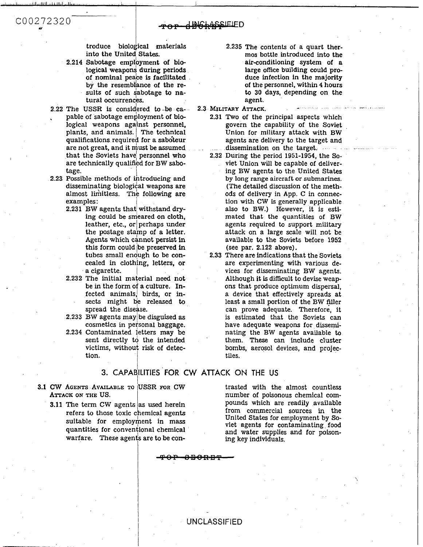troduce biological materials into the United, **States.** 

I/ I I I

- **2.214** Sabotage employment of biological weapon? **during** periods of nominal peace is facilitated. by the resemblance of the results of such sabotage to natural occurrences.
- <sup>I</sup>**2.22** The **USSR** is considered **to-be** ca- , pable of sabotage employment **of bio**logical weapons against personnel, plants, and animals. The technical qualifications required for a saboteur are not great, and it must be assumed that the Soviets have personnel who are technically qualified for BW sabotage.
- 2.23 Possible methods of introducing and disseminating biological weapons are almost limitless. The following are examples :
	- **2.231 BW agents that, withstand drying** could be smeared on cloth, leather, etc., or perhaps under the postage stamp of **a** letter. Agents which cannot persist in this form could Ibe preserved **in**  tubes small enough to be concealed in clothing, letters, or a cigarette.
	- **2.232** The initial material need not be in the form of a culture. Infected animals/ birds, or insects might be released to spread the disease.
	- **2.233** BW agents maylbe disguised **as**  cosmetics in personal baggage.
	- **2.234** Contaminated fetters may be sent directly to the intended victims, without risk of detection.

I

### 3. CAPABILITIES FOR CW ATTACK ON THE US

- **ATTACK ON THE** US.
	- **3.11 The term CW agents as used herein**
- **2.235** The contents of a quart thermos bottle introduced into the air-conditioning system of a large office building could produce infection in the majority **of** the personnel, within **4** hours to **30** days, depending on the agent.
- **2.3 MILITARY ATTACK.** 
	- **2.31 Two of** the principal aspects which govern the capability of the Soviet Union for military attack with BW agents are delivery to the target and dissemination on the target. .........
	- **2.32** During the period **1951-1954,** the Soviet Union will be capable of delivering BW agents to the United States by long range aircraft or submarines. (The detailed discussion of the methods of delivery in App. C in connection with CW is generally applicable also to BW.) However, it **is** estimated that the quantities of BW agents required **to** support military attack on a large scale will not be available to the Soviets before **1952**  (see par. **2.122** above).
- **2.33** There are indications that the Soviets are experimenting with various devices for disseminating BW agents. Although it is difficult to devise weapons that produce optimum dispersal, a device that effectively spreads at least a small portion of the BW filler can prove adequate. Therefore, it is estimated that the Soviets can have adequate weapons for disseminating the BW agents available to them. These can include cluster bombs, aerosol devices, and projectiles. a letter. attack on a large scale will not<br>served in a valiable to the Soviets before 1<br>served in several in the Soviet<br>served in the Soviet before 1<br>cetters, or are experimenting with various<br>there are experimenting with

number of poisonous chemical compounds which are readily available<br>from commercial sources in the

### **UNCLASSIFIED**

COO272320 *Y*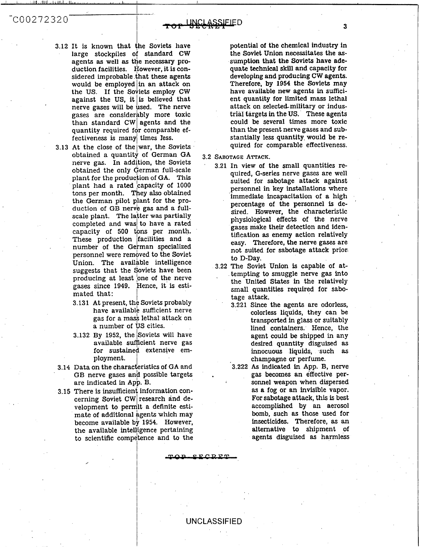*-CO* 027 2 *32* 0

- **3.12** It is known that le Soviets have large stockpiles of standard CW agents as well as the necessary production facilities. However, it is considered improbable that these agents would be employed in an attack on the US. If the Soviets employ CW against the US, it is believed that nerve gases will be used. The nerve gases are considerably more toxic than standard CW agents and the quantity required for comparable effectiveness is many times less.
- **3.13** At the close of the war, the Soviets obtained a quantity of German GA nerve gas. In addition, the Soviets obtained the only German full-scale plant for the production of **GA.** This plant had a rated capacity of  $1000$ plant had a rated capacity of 1000<br>tons per month. They also obtained the German pilot plant for the production of GB nerve gas and a fullscale plant. The latter was partially completed and was to have a rated capacity of 500 tons per month. These production facilities and a number of the German specialized personnel were removed to the Soviet Union. The available intelligence suggests that the Soviets have been producing at least one of the nerve eases since 1949. Hence, it is estimated that:
	- **3.131 At present, the Soviets probably** have available sufficient nerve gas for a mass lethal attack on a number **of**  S cities.
	- **3.132** By **1952,** the Soviets will have available sufficient nerve gas for sustained extensive employment.
- **3.14** Data on the characteristics of GA and GB nerve gases and possible targets are indicated in App.  $B$ .
- 3.15 There is insufficient information concerning Soviet **CV**  research and development to permit a definite estimate of additional gents which may become available **<sup>1</sup> 1954.** However, the available intelligence pertaining to scientific competence and to the

potential **of** the chemical industry in the Soviet Union necessitates the **as**sumption that the Soviets have adequate technical **skill** and capacity **for**  developing and producing CW agents. Therefore, by **1954** the Soviets may have available new agents in **suffici**ent quantity for limited mass lethal attack on selected-military or industrial targets in the **US.** These agents could be several times more toxic than the present nerve gases and substantially less quantity, would be required for comparable effectiveness.

- **3.2 SABOTAGE ATTACK.** 
	- **3.21** In view of the small quantities required, G-series nerve gases are well suited for sabotage attack against perswnel in key installations where immediate incapacitation **of** a high percentage of the personnel is desired. However, the characteristic physiological effects **of** the nerve gases make their detection and identification **as** enemy action relatively easy. Therefore, the nerve gases are not suited for sabotage attack prior) to D-Day.
	- **3.22** The Soviet Union is capable of attempting to smuggle nerve gas into the United States in the relatively small quantities required for sabotage attack.
		- **3.221** Since the agents are odorless, colorless liquids, they can be transported in glass or suitably lined containers. Hence, the agent could be shipped in any desired quantity disguised as innocuous liquids, such **as**  champagne or perfume.

**3.222** *As* indicated **in** App. B, nerve gas becomes an effective per sonnel weapon when dispersed **as a** fog or an invisible vapor. **For** sabotage attack, this is best accomplished by an aerosol **bomb,** such **as** those used for insecticides. Therefore, **as** an alternative to shipment of agents disguised **as** harmless

'

 $C. C. D. F$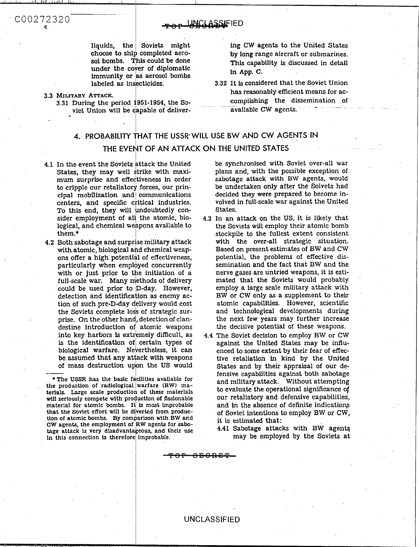#### **JNCLASSIFIED**

liquids, the Soviets might choose to ship completed aerosol bombs. This could be done under the cover of diplomatic immunity or as aerosol bombs labeled as insecticides.

#### 3.3 MILITARY ATTACK.

3.31 During the period 1951-1954, the Soviet Union will be capable of deliver-

ing CW agents to the United States by long range aircraft or submarines. This capability is discussed in detail in App. C.

3.32 It is considered that the Soviet Union has reasonably efficient means for accomplishing the dissemination of available CW agents.

### 4. PROBABILITY THAT THE USSR WILL USE BW AND CW AGENTS IN THE EVENT OF AN ATTACK ON THE UNITED STATES

- 4.1 In the event the Soviets attack the United States, they may well strike with maximum surprise and effectiveness in order to cripple our retaliatory forces, our principal mobilization and communications centers, and specific critical industries. To this end, they will undoubtedly consider employment of all the atomic, biological, and chemical weapons available to them.
- 4.2 Both sabotage and surprise military attack with atomic, biological and chemical weapons offer a high potential of effectiveness, particularly when employed concurrently with or just prior to the initiation of a full-scale war. Many methods of delivery could be used prior to D-day. However, detection and identification as enemy action of such pre-D-day delivery would cost the Soviets complete loss of strategic surprise. On the other hand, detection of clandestine introduction of atomic weapons into key harbors is extremely difficult, as is the identification of certain types of biological warfare. Nevertheless, it can be assumed that any attack with weapons of mass destruction upon the US would

• The USSR has the basic facilities available for the production of radiological warfare (RW) materials. Large scale production of these materials will seriously compete with production of fissionable material for atomic bombs. It is most improbable that the Soviet effort will be diverted from production of atomic bombs. By comparison with BW and CW agents, the employment of RW agents for sabotage attack is very disadvantageous, and their use in this connection is therefore improbable.

be synchronized with Soviet over-all war plans and, with the possible exception of sabotage attack with BW agents, would be undertaken only after the Soivets had decided they were prepared to become involved in full-scale war against the United States.

- 4.3 In an attack on the US, it is likely that the Soviets will employ their atomic bomb stockpile to the fullest extent consistent with the over-all strategic situation. Based on present estimates of BW and CW potential, the problems of effective dissemination and the fact that BW and the nerve gases are untried weapons, it is estimated that the Soviets would probably employ a large scale military attack with BW or CW only as a supplement to their atomic capabilities. However, scientific and technological developments during the next few years may further increase the decisive potential of these weapons.
- 4.4 The Soviet decision to employ BW or CW against the United States may be influenced to some extent by their fear of effective retaliation in kind by the United States and by their appraisal of our defensive capabilities against both sabotage and military attack. Without attempting to evaluate the operational significance of our retaliatory and defensive capabilities. and in the absence of definite indications of Soviet intentions to employ BW or CW, it is estimated that:
	- 4.41 Sabotage attacks with BW agents may be employed by the Soviets at

**UNCLASSIFIED** 

<del>0 P - 0 B 0 R B T</del>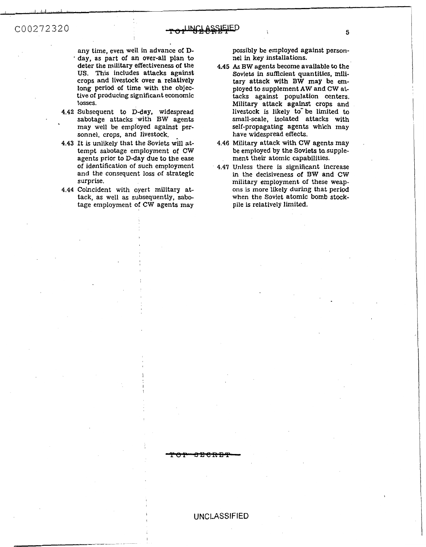any time, even well in advance of D- \* day, **as** part of an over-all plan *to*  deter the military effectiveness of the **US. This** includes attacks against crops and livestock over a relatively long period of time with the objective *of* producing significant economic losses.

- **4.42** Subsequent to D-day, widespread sabotage attacks with BW agents may well be employed against personnel, crops, and livestock.
- **4.43** It is unlikely that the Soviets **411** attempt sabotage employment of CW agents prior to D-day due to the ease of identification of such employment and the consequent loss of strategic surprise.
- **4.44** Coincident with oyert military attack, as well **as** subsequently, sabotage employment of CW agents may

possibly be employed against personnel in key installations.

- **4.45 As** BW agents become available to the Soviets in sufficient quantities, military attack with **BW** may be employed to supplement **AW** and **CW** attacks against population centers. Military attack against crops and livestock is likely to be limited to small-scale, isolated attacks with self-propagating agents which may have widespread effects.
- **4.46** Military attack with CW agents may be employed by the Soviets ta supplement their atomic capabilities.
- **4.47** Unless there **is** significant increase in the decisiveness of **BW** and CW military employment **of** these weapons is more likely during that period when the Soviet atomic bomb stockpile is relatively limited.

.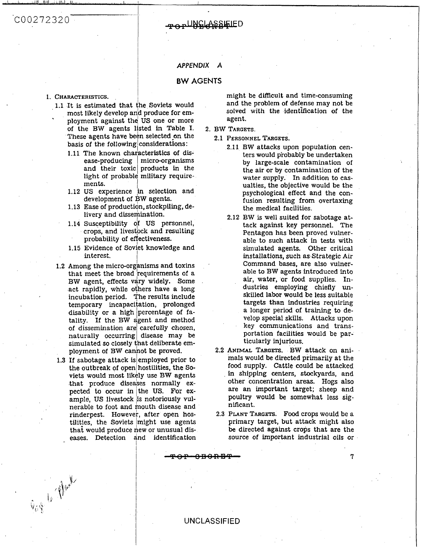### $COO272320^{-7}$

#### **TADUNGLASSIELED**

#### *APPENDIX A*

#### **BW AGENTS**

#### 1. **CHARACTERISTICS.**

-, , ,/ ,I,

- 1.1 It is estimated that the Soviets would most likely develop an<mark>d produce for em-</mark> most likely develop and produce for emof the BW agents listed in Table I. These agents have been selected on the these agents have been selected on the<br>basis of the following considerations:
	- 1.11 The known characteristics of disease-producing micro-organisms and their toxic products in the  $light$  of probable military requirements.
	- 1.12 US experience in selection and development of BW agents.
	- 1.13 Ease of production, stockpiling, delivery and dissemination.
	- 1.14 Susceptibility of US personnel, crops, and livestock and resulting probability of effectiveness.
	- probability of effectiveness.<br>1.15 Evidence of Soviet knowledge and interest.
- 1.2 Among the micro-organisms and toxins that meet the broad requirements of a BW agent, effects vary widely. Some act rapidly, while others have a long incubation period. he results include temporary incapacitation, prolonged disability or a high percentage of fatality. If the BW agent and method of dissemination are carefully chosen,  $\left.$ naturally occurring disease may be simulated so closely that deliberate employment of BW cannot be proved.
- 1.3 If sabotage attack is employed prior to the outbreak of open hostilities, the Soviets would most **lik**  ly use BW agents that produce diseases normally expected to occur in the US. For example, US livestock is notoriously vulnerable to foot and mouth disease and rinderpest. However, after open hostilities, the Soviets might use agents that would produce new or unusual diseases. Detection and identification

Gas 6 Aug

might be difficult and time-consuming and the problem of defense may not be solved with the identification **of** the agent.

- 2. BW TARGETS.
	- 2.1 **PERSONNEL TARGETS.** 
		- 2.11 BW attacks upon population centers would piobably be undertaken by large-scale contamination of the air or by contamination of the water supply. In addition to casualties, the objective would be the psychological effect and the confusion resulting from overtaxing the medical facilities.
		- 2.12 BW **is** well suited for sabotage attack against key personnel. The Pentagon has been proved vulnerable to such attack in tests with simulated agents. Other critical installations, such **as** Strategic **Air**  Command bases, are also vulnerable to BW agents introduced into air, water, or food supplies. Industries employing chiefly unskilled labor would be less suitable targets than industries requiring a longer period of training to develop special skills. Attacks upon key communications and transportation facilities would be particularly injurious.
- **2.2** ANIMAL TARGETS. BW attack on animals would be directed primarily at the food supply. Cattle could be attacked **in** shipping centers, stockyards, and other concentration areas. Hogs also are an important target; sheep and poultry would be somewhat less significant. Frame of the strategy in the set of the set of the set of the set of the set of the set of the set of the set of the set of the set of the set of the set of the set of the set of the set of the set of the set of the set of
	- 2.3 **PLANT TARGETS. Food** crops would be a primary target, but attack might also **be** directed against crops that are the source of important industrial oils or

7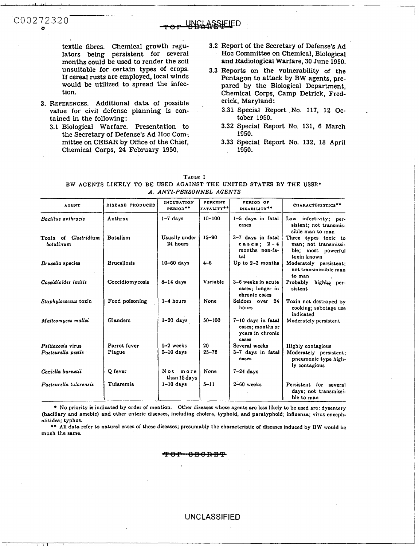textile fibres. Chemical growth regulators being persistent for several months could be used to render the soil unsuitable for certain types of crops. If cereal rusts are employed, local winds would **be** utilized to spread the infection.

**.**<br>...

**3. REFERENCES.** Additional data of possible value for civil defense planning is contained in the following:

COO272320 *0* -IED *<sup>L</sup>*

**3.1** Biological Warfare. Presentation to the Secretary of Defense's Ad Hoc Com: mittee on CEBAR by Office of the Chief, Chemical Corps, **24** February **1950.** 

- **3.2** Report of the Secretary of Defense's Ad Hoc Committee on Chemical, Biological and Radiological Warfare, **30** June **1950.**
- **3.3** Reports on the vulnerability of the Pentagon to attack by BW agents, prepared by the Biological Department, Chemical Corps, Camp Detrick, Frederick, Maryland:
	- **3.31** Special Report **No. 117, 12** October 1950.
	- **3.32** Special Report **No. 131,** 6 March **1950.**
	- **3.33** Special Report **No. 132, 18** April **1950.**

| <b>AGENT</b>                             | DISEASE PRODUCED   | <b>INCUBATION</b><br>PERIOD** | <b>PERCENT</b><br>FATALITY <sup>**</sup> | PERIOD OF<br>DISABILITY**                                           | CHARACTERISTICS**                                                                 |
|------------------------------------------|--------------------|-------------------------------|------------------------------------------|---------------------------------------------------------------------|-----------------------------------------------------------------------------------|
| Bacillus anthracis                       | Anthrax            | $1-7$ days                    | $10 - 100$                               | 1-5 days in fatal<br><b>CASES</b>                                   | Low infectivity; per-<br>sistent; not transmis-<br>sible man to man               |
| Toxin of <i>Clostridium</i><br>botulinum | Botulism           | Usually under<br>24 hours     | $15 - 90$                                | 3-7 days in fatal<br>cases; $2-4$<br>months non-fa-<br>tal          | Three types toxic to<br>man; not transmissi-<br>ble; most powerful<br>toxin known |
| Brucella species                         | <b>Brucellosis</b> | 10-60 days                    | $4 - 6$                                  | Up to $2-3$ months                                                  | Moderately persistent:<br>not transmissible man<br>to man                         |
| Coccidioides imilis                      | Coccidiomycosis    | $8-14$ days                   | Variable                                 | 3-6 weeks in acute<br>cases; longer in<br>chronic cases             | Probably<br>highly per-<br>sistent                                                |
| Staphylococcus toxin                     | Food poisoning     | $1-4$ hours                   | None                                     | Seldom over 24<br>hours                                             | Toxin not destroved by<br>cooking; sabotage use<br>indicated                      |
| Malleomyces mallei                       | <b>Glanders</b>    | $1-20$ days                   | $50 - 100$                               | 7-10 days in fatal<br>cases: months or<br>years in chronic<br>cases | Moderately persistent                                                             |
| Psillacosis virus                        | Parrot fever       | $1-2$ weeks                   | 20                                       | Several weeks                                                       | Highly contagious                                                                 |
| Pasteurella pestis                       | Plague             | $2-10$ days                   | $25 - 75$                                | 3-7 days in fatal<br>cases                                          | Moderately persistent;<br>pneumonic type high-<br>ly contagious                   |
| Coriella burnetii                        | Q fever            | Not more<br>than 15 days      | None                                     | $7-24$ days                                                         |                                                                                   |
| Pasteurella tularensis                   | Tularemia          | $1-10$ days                   | $5 - 11$                                 | $2-60$ weeks                                                        | Persistent for several<br>days; not transmissi-<br>ble to man                     |

**TADLE I BW AGENTS LIKELY TO** BE USED **AGAINST** THE **UNITED STATES** BY THE **USSR\*** 

No priority is indicated by order of mention. Other disesses whose agents are less likely to be used are: dysentery (bacillary and amebic) and other enteric diseases, including cholera, typhoid, and paratyphoid; influenza; virus encephalitides; typhus.

\*\* **All** data refer to natural cases of these diseases; presumably the characteristic of diseases induced by BW would **bc**  much the same.

<del>800RDT</del>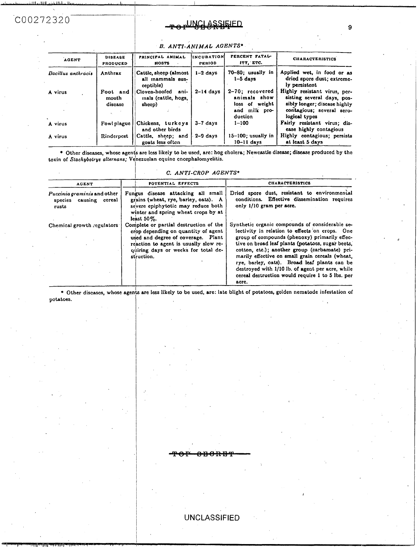## COO272320

| بالعثللة خارف<br>11. |                            |                                                        |                              |                                            |                                                                            |
|----------------------|----------------------------|--------------------------------------------------------|------------------------------|--------------------------------------------|----------------------------------------------------------------------------|
| 2320                 |                            |                                                        | <u> NCLASSIEIED</u>          |                                            | 9                                                                          |
|                      |                            |                                                        |                              |                                            |                                                                            |
|                      |                            | B. ANTI-ANIMAL AGENTS*                                 |                              |                                            |                                                                            |
| <b>AGENT</b>         | <b>DISEASE</b><br>PRODUCED | PRINCIPAL ANIMAL<br><b>HOSTS</b>                       | IINCUBATION<br><b>PERIOD</b> | PERCENT FATAL-<br>ITY, ETC.                | <b>CHARACTERISTICS</b>                                                     |
| Bacillus anthracis   | Anthrax                    | Cattle, sheep (almost<br>all mammals sus-              | $1-2$ days                   | 70-80; usually in<br>$1-5$ days            | Applied wet, in food or as<br>dried spore dust; extreme-<br>ly persistent  |
| A virus              | Foot and<br>mouth          | ceptible)<br>Cloven-hoofed ani-<br>mals (cattle, hogs, | $2 - 14$ days                | 2-70; recovered<br>animals show            | Highly resistant virus, per-<br>sisting several days, pos-                 |
|                      | disease                    | sheep)                                                 |                              | loss of weight<br>and milk pro-<br>duction | sibly longer; discase highly<br>contagious; several sero-<br>logical types |
| A virus              | Fowl plague                | Chickens, turkeys<br>and other birds                   | $3-7$ days                   | $1 - 100$                                  | Fairly resistant virus; dis-<br>ease highly contagious                     |
| A virus              | Rinderpest                 | Cattle, sheep; and<br>goats less often                 | $2-9$ days                   | $15-100$ ; usually in<br>$10-11$ days      | Highly contagious; persists<br>at least 5 days                             |

#### *B. ANTI-ANIMAL AGENTS\**

Other diseases, whose agents are less likely to be used, are: hog cholera; Newcastle disease; disease produced by the toxin of *Sfochylotrys alfernans;* Vehezuelan equine cnccphalomyelitis.

#### **C.** *ANTI-CROP AGENTS+*

| <b>AGENT</b>                                                   | POTENTIAL EFFECTS                                                                                                                                                                                                 | <b>CHARACTERISTICS</b><br>Dried spore dust, resistant to environmental<br>conditions. Effective dissemination requires<br>only 1/10 gram per acre.<br>Synthetic organic compounds of considerable se-<br>lectivity in relation to effects on crops. One<br>group of compounds (phenoxy) primarily effec-<br>tive on broad leaf plants (potatoes, sugar beets,<br>cotton, etc.); another group (carbamate) pri-<br>marily effective on small grain cereals (wheat,<br>rye, barley, oats). Broad leaf plants can be<br>destroyed with 1/10 lb. of agent per acre, while<br>cereal destruction would require 1 to 5 lbs. per<br>acre. |  |  |
|----------------------------------------------------------------|-------------------------------------------------------------------------------------------------------------------------------------------------------------------------------------------------------------------|------------------------------------------------------------------------------------------------------------------------------------------------------------------------------------------------------------------------------------------------------------------------------------------------------------------------------------------------------------------------------------------------------------------------------------------------------------------------------------------------------------------------------------------------------------------------------------------------------------------------------------|--|--|
| Puccinia graminis and other<br>species causing cereal<br>rusts | Fungus disease attacking all small<br>grains (wheat, rye, barley, oats). A<br>severe epiphytotic may reduce both<br>winter and spring wheat crops by at<br>least $50\%$ .                                         |                                                                                                                                                                                                                                                                                                                                                                                                                                                                                                                                                                                                                                    |  |  |
| Chemical growth regulators:                                    | Complete or partial destruction of the<br>crop depending on quantity of agent<br>used and degree of coverage. Plant<br>reaction to agent is usually slow re-<br>quiring days or weeks for total de-<br>struction. |                                                                                                                                                                                                                                                                                                                                                                                                                                                                                                                                                                                                                                    |  |  |

\* Other diseases, whose agents are less likely to be used, are: late blight of potatoes, golden nematode infestation of **potatoes.** 

UNCLASSIFIED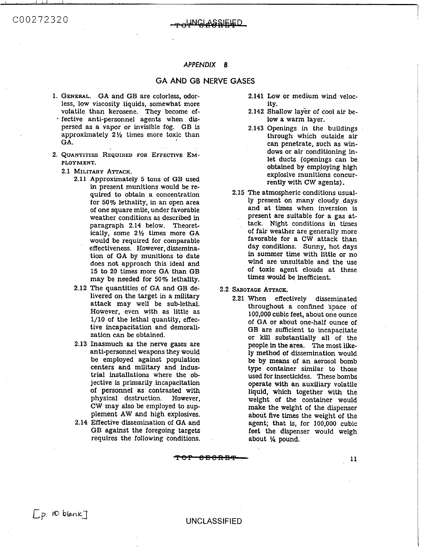### INGLASSIEIED.

#### *APPENDIX* **8**

#### **GA AND GB NERVE GASES**

- **GENERAL. GA** and **GB** are colorless, odorless, low viscosity liquids, somewhat more volatile than kerosene. They become effective anti-personnel agents when dispersed as a vapor or invisible fog. GB is approximately **2%** times more toxic than **GA.**
- **QUANTITIES REQUIRED FOR** EFFECTIVE **EM-**PLOYMENT.
	- **2.1 MILITARY ATTACK.** 
		- **2.11** Approximately **5 tons** of GB used in present munitions would be required to obtain a concentration for **50%** lethality, in an open area of one square mile, under favorable weather conditions **as** described in paragraph **2.14** below. Theoretically, some **2%** times more **GA**  would be required for comparable effectiveness. However, dissemination of **GA** by munitions to date does not approach this ideal and **15** to **20** times more **GA** than GB may be needed for **50%** lethality.
		- **2.12** The quantities of **GA** and GB delivered on the target in a military attack may well be sub-lethal. However, even with as little as **1/10** of the lethal quantity, effective incapacitation and demoralization can be obtained.
		- **2.13** Inasmuch **as** the nerve gases are anti-personnel weapons they would be employed against population centers and military and industrial installations where the objective is primarily incapacitation of personnel **as** contrasted with physical destruction. However, CW may also be employed to supplement **AW and** high explosives.
		- **2.14** Effective dissemination of **GA** and GB against the foregoing targets requires the following conditions.
- **2.141 Low** or medium wind velocity.
- **2.142** Shallow layer of cool air **be**low a warm layer.
- **2.143** Openings in the buildings through which outside air can penetrate, such as windows or air conditioning inlet ducts (openings can be obtained by employing high explosive munitions concurrently with CW agents).
- **2.15** The atmospheric conditions usually present on many cloudy days and at times when inversion is present are suitable for a gas attack. Night conditions in times of fair weather are generally more favorable for a CW attack than day conditions. Sunny, hot days in summer time with little or no wind are unsuitable and the use of toxic agent clouds at these times **would** be inefficient.

**2.2 SABOTAGE ATTACK.** 

**2.21** When effectively disseminated throughout a confined Space of 100,000 cubic feet, about one ounce of GA or about one-half ounce of GB are sufficient to incapacitate or kill substantially all of the people in the area. The most likely method of dissemination would **be** by **means** of an aerosol bomb type container similar to those used for insecticides. These bombs operate with an auxiliary volatile liquid, which together with the weight **of** the container would make the weight of the dispenser about five times the weight of the agent; that is, for 100,000 cubic feet the dispenser would weigh ey would<br>
pulation<br>
pulation<br>
indus-<br>
the ob-<br>
used for insecticid<br>
acitation<br>
ed with<br>
However,<br>
weight of the of<br>
However,<br>
it is make the weight<br>
plosives.<br>
about five times to<br>
calculate the weight<br>
plosives.<br>
about fi about '/4 pound.

#### UNCLASSIFIED

**11**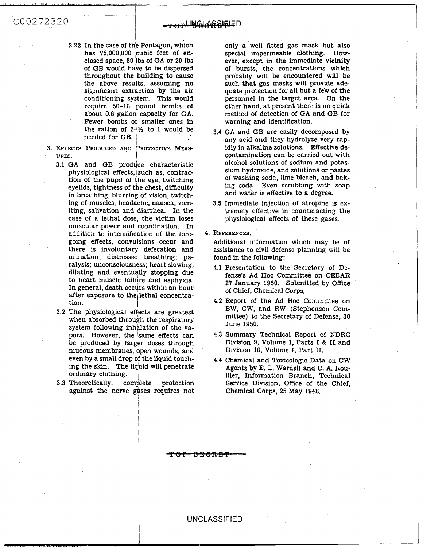- 2.22 In the case of the Pentagon, which has 75,000,000 cubic feet of enclosed space, **50** /bs of GA or **20** lbs of GB would have to be dispersed throughout the building to cause the above results, assuming no significant extraction by the air conditioning system. This would require 50-10 pound bombs of about 0.6 gallon capacity for GA. Fewer bombs **or** smaller ones in the ration of  $2\frac{1}{2}$  to 1 would be needed for GB. <sup>I</sup> '
- I **3. EFFECTS** PRODUCED AND **PROTECTIVE MEAS-URES.** 
	- **3.1** GA and GB produce characteristic physiological effects, lsuch as, contraction of the pupil of the eye, twitching eyelids, tightness of the chest, difficulty in breathing, blurring of vision, twitching of muscles, headache, nausea, vomiting, salivation and 'diarrhea. In the case of a lethal dose, the victim loses muscular power and !coordination. In addition to intensification of the foregoing effects, convulsions occur and there **is** involuntary defecation and urination; distressed breathing; paralysis; unconsciousness; heart slowing, dilating and eventually stopping due to heart muscle failure and asphyxia. In general, death occurs within an hour after exposure to the lethal concentration.
	- **3.2** The physiological effects are greatest when absorbed through the respiratory system following inhalation of the vapors. However, the 'same effects can be produced by larger doses through mucous membranes, open wounds, and even by a small drop **of** the liquid touching the **skin.** The liquid will penetrate ordinary clothing.
	- **3.3** Theoretically, complete protection against the nerve gases requires not

!

I

I I

only a well fitted gas mask but also special impermeable clothing. However, except in the immediate vicinity of bursts, the concentrations which probably will be encountered will be such that gas masks will provide adequate protection for all but a few of the personnel in the target area. On the other hand, at present thereis no quick method of detection of GA and GB for warning and identification.

\*

- **3.4** GA and GB are easily decomposed by any acid and they hydrolyze very rapidly in alkaline solutions. Effective decontamination can be carried out with alcohol solutions of sodium and potassium hydroxide, and solutions or pastes *of* washing soda, lime bleach, and baking soda. Even scrubbing with soap and wafer is effective to a degree.
- **3.5** Immediate injection of atropine is extremely effective in counteracting the physiological effects of these gases.
- **4. REFERENCES.**

Additional information which may be of assistance to civil defense planning will be found in the following:

- **4.1** Presentation **to** the Secretary of Defense's Ad Hoc Committee on CEBAR **27** January **1950.** Submitted by Office of Chief, Chemical Corps.
- 4.2 Report of the Ad Hoc Committee on BW, CW, and RW (Stephenson Committee) to the Secretary of Defense, **30**  June **1950,**
- **4.3** Summary Technical Report of **NDRC**  Division 9, Volume 1, Parts I & **I1** and Division **10,** Volume I, Part 11.
- **4.4** Chemical and Toxicologic Data on CW Agents by E. L. Wardell and C. A. Rouiller, Information Branch, Technical Service Division, Office of the Chief, Chemical Corps, **25** May **1948.**  through Division 9, Volume 1, Pa<br>
rads, and Division 10, Volume I, Pa<br>
id touch-<br>
4.4 Chemical and Toxicologi<br>
penetrate Agents by E. L. Wardell<br>
iller, Information Bran<br>
rotection Service Division, Office<br>
chemical Corps,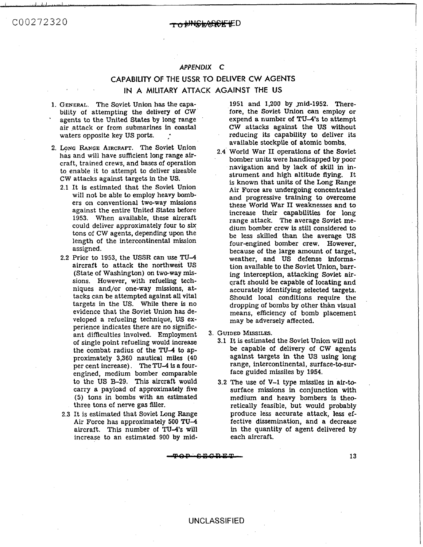#### <del>₺₦₲₺₦₿₿₭</del>₣₽

#### *APPENDIX* **C**

### **CAPABILITY OF THE USSR TO DELIVER CW AGENTS IN A MILITARY AlTACK AGAINST THE US**

- **1. GENERAL.**  The Soviet Union has the capa-\* bility of attempting the delivery of CW agents to the United States by long range air .attack or from submarines **in** coastal waters opposite key US ports. .-
- 2. LONG RANGE AIRCRAFT. The Soviet Union has and will have sufficient long range aircraft, trained crews, and bases of operation to enable it to attempt to deliver sizeable **CW** attacks against targets in the US.
	- 2.1 It is estimated that the Soviet Union will not be able to employ heavy bombers on conventional two-way missions against the entire United States before 1953. When available, these aircraft could deliver approximately four to **six**  tons of CW agents, depending upon the length of the intercontinental mission assigned.
	- 2.2 Prior to 1953, the USSR can use **TU4**  aircraft to attack the northwest US (State of Washington) on two-way missions. However, with refueling techniques and/or one-way missions, attacks can be attempted against all vital targets in the US. While there **is** no evidence that the Soviet **Union** has developed a refueling technique, **US** experience indicates there are no significant difficulties involved. Employment of single point refueling would increase the combat radius of the TU-4 to approximately **3,360** nautical miles **(40**  per cent increase). The TU-4 is a fourengined, medium bomber comparable to the US **B-29. This** aircraft would carry a payload of approximately five (5) tons in bombs with an estimated three tons of nerve gas filler.
	- 2.3 It is estimated that Soviet Long Range Air Force has approximately 500 **TU4**  aircraft. This number of TU-4's will increase to an estimated 900 by mid-

1951 and 1,200 by mid-1952. Therefore, the Soviet Union can employ **or**  expend a number of TU-4's to attempt CW attacks against the US without reducing its capability to deliver **its**  available stockpile **of** atomic bombs.

- 2.4 World War I1 operations **of** the Soviet bomber units were handicapped by poor navigation and **by** lack of skill in instrument and high altitude flying. It is known that units of the Long Range Air Force are undergoing concentrated and progressive training to overcome these World War **I1** weaknesses and to increase their capabilities **for** long range attack. The average Soviet medium bomber crew is still considered to be less skilled than the average US four-engined bomber crew. However, because of the large amount of target, weather, and US defense **informa**tion available to the Soviet Union, barring interception, attacking Soviet aircraft should be capable **of** locating and accurately identifying selected targets. Should local conditions require the dropping of bombs by other than visual means, efficiency of bomb placement may be adversely affected.
- 3. **GUIDED MISSILES.** 
	- 3.1 It is estimated the Soviet Union **will** not be capable of delivery of CW agents against targets in the US using long range, intercontinental, surface-to-surface guided missiles by 1954.
	- **3.2** The use of **V-1** type missiles in **air-to**surface missions in conjunction with medium and heavy bombers **ts** theoretically feasible, but would probably produce less accurate attack, less effective dissemination, and a decrease in the quantity of agent delivered by each aircraft.

<del>TOP CBORET</del>

13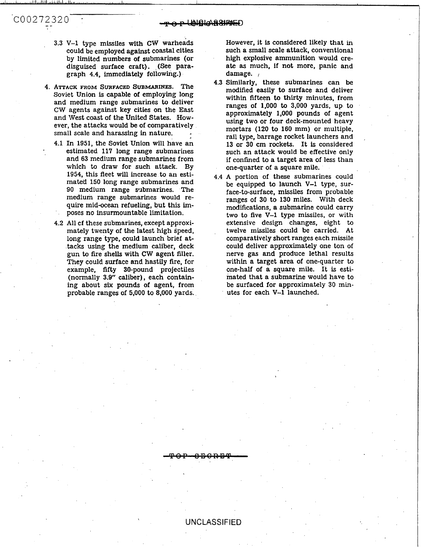**3.3 V-1** type missiles with **CW** warheads could be employed against coastal cities by limited numbers of submarines (or disguised surface craft). (See paragraph **4.4,** immediately following.)

C00272320

..

- **4. ATTACK FROM SURFACED SUBMARINES.** The Soviet Union is capable of employing long and medium range submarines to deliver CW agents against key cities on the East and West coast of the United States. However, the attacks would be of comparatively small scale and harassing in nature.
	- **4.1** In **1951,** the Soviet Union will have an estimated 117 long range submarines and **63** medium range submarines from which to draw for such attack. By **1954,** this fleet will increase to an estimated 150 long range submarines and 90 medium range sibmarines. The medium range submarines would **re**quire mid-ocean refueling, but this imposes no insurmountable limitation.
	- **4.2** All cf these submarines, except approximately twenty of the latest high speed, long range type, could launch brief attacks using the medium caliber, deck gun to fire shells with **CW** agent filler. They could surface and hastily fire, for example, fifty 30-pound projectiles (normally 3.9" caliber), each containing about six pounds of agent, from probable ranges of 5,000 to 8,000 yards.

However, it is considered likely that in such a small scale attack, conventional high explosive ammunition would create **as** much, if not more, panic and damage. *<sup>I</sup>*

- **4.3** Similarly, these submarines can be modified easily to surface and deliver within fifteen to thirty minutes, from ranges of **1,000** to 3,000 yards, up to approximately **1,000** pounds of agent using two or four deck-mounted heavy mortars (120 to **160** mm) **or** multiple, rail type, barrage rocket launchers and **<sup>13</sup>**or **30** cm rockets. It is considered such an attack would be effective only if confined to a target area of less than one-quarter of a square mile.
- **4.4 A** portion of these submarines could be equipped to launch **V-1** type, surface-to-surface, missiles from probable ranges of 30 to 130 miles. With deck modifications, a submarine could carry two to five **V-1** type missiles, or with extensive design changes, eight to twelve missiles could be carried. At comparatively short ranges each missile could deliver approximately one ton of nerve gas and produce lethal results within a target area of one-quarter to one-half of a square mile. It is estimated that a submarine would have to be surfaced for approximately 30 minutes for each **V-1** launched.

UNCLASSIFIED

<del>880RB9</del>